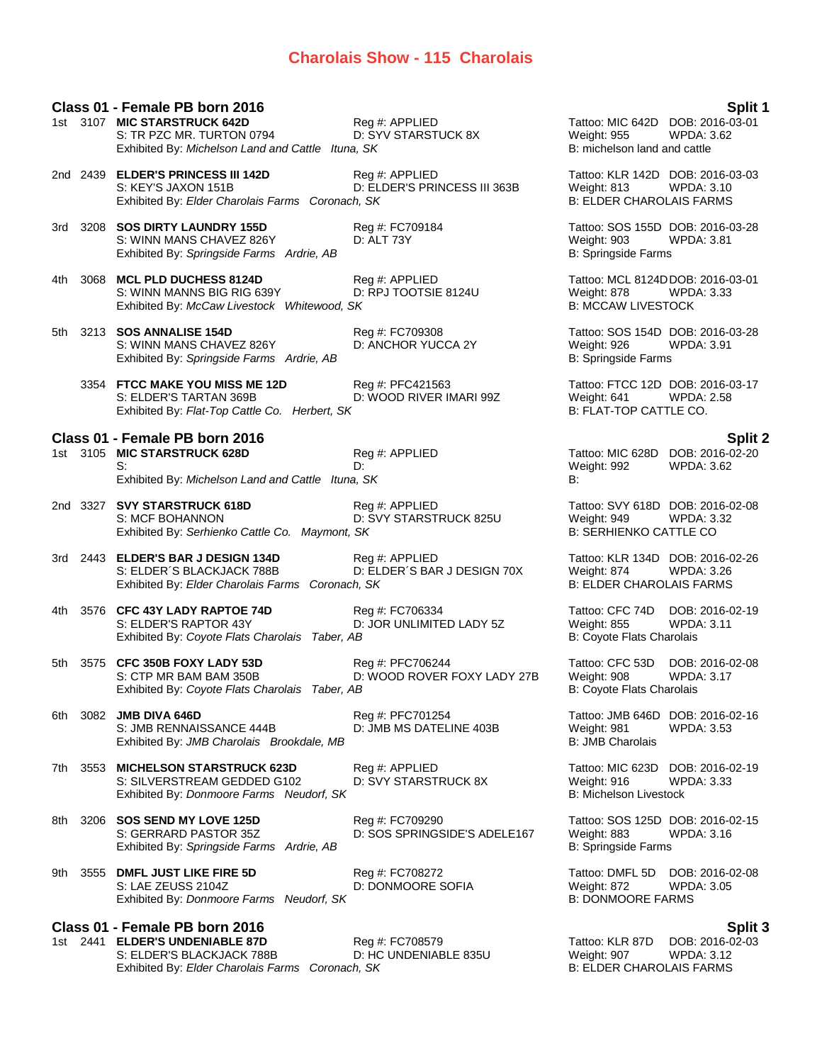# **Charolais Show - 115 Charolais**

|      |          | Class 01 - Female PB born 2016                                                                                             |                                                 |                                                                                        | Split 1                                               |
|------|----------|----------------------------------------------------------------------------------------------------------------------------|-------------------------------------------------|----------------------------------------------------------------------------------------|-------------------------------------------------------|
|      |          | 1st 3107 MIC STARSTRUCK 642D<br>S: TR PZC MR. TURTON 0794<br>Exhibited By: Michelson Land and Cattle Ituna, SK             | Reg #: APPLIED<br>D: SYV STARSTUCK 8X           | Tattoo: MIC 642D DOB: 2016-03-01<br><b>Weight: 955</b><br>B: michelson land and cattle | WPDA: 3.62                                            |
|      |          | 2nd 2439 ELDER'S PRINCESS III 142D<br>S: KEY'S JAXON 151B<br>Exhibited By: Elder Charolais Farms Coronach, SK              | Reg #: APPLIED<br>D: ELDER'S PRINCESS III 363B  | Tattoo: KLR 142D DOB: 2016-03-03<br>Weight: 813<br><b>B: ELDER CHAROLAIS FARMS</b>     | WPDA: 3.10                                            |
|      | 3rd 3208 | <b>SOS DIRTY LAUNDRY 155D</b><br>S: WINN MANS CHAVEZ 826Y<br>Exhibited By: Springside Farms Ardrie, AB                     | Reg #: FC709184<br>D: ALT 73Y                   | Tattoo: SOS 155D DOB: 2016-03-28<br>Weight: 903<br>B: Springside Farms                 | <b>WPDA: 3.81</b>                                     |
| 4th. | 3068     | <b>MCL PLD DUCHESS 8124D</b><br>S: WINN MANNS BIG RIG 639Y<br>Exhibited By: McCaw Livestock Whitewood, SK                  | Reg #: APPLIED<br>D: RPJ TOOTSIE 8124U          | Tattoo: MCL 8124D DOB: 2016-03-01<br>Weight: 878<br><b>B: MCCAW LIVESTOCK</b>          | WPDA: 3.33                                            |
| 5th  |          | 3213 SOS ANNALISE 154D<br>S: WINN MANS CHAVEZ 826Y<br>Exhibited By: Springside Farms Ardrie, AB                            | Reg #: FC709308<br>D: ANCHOR YUCCA 2Y           | Tattoo: SOS 154D DOB: 2016-03-28<br>Weight: 926<br>B: Springside Farms                 | <b>WPDA: 3.91</b>                                     |
|      |          | 3354 FTCC MAKE YOU MISS ME 12D<br>S: ELDER'S TARTAN 369B<br>Exhibited By: Flat-Top Cattle Co. Herbert, SK                  | Reg #: PFC421563<br>D: WOOD RIVER IMARI 99Z     | Tattoo: FTCC 12D DOB: 2016-03-17<br>Weight: 641<br>B: FLAT-TOP CATTLE CO.              | <b>WPDA: 2.58</b>                                     |
|      |          | Class 01 - Female PB born 2016                                                                                             |                                                 |                                                                                        | Split 2                                               |
|      |          | 1st 3105 MIC STARSTRUCK 628D<br>S:<br>Exhibited By: Michelson Land and Cattle Ituna, SK                                    | Reg #: APPLIED<br>D:                            | Weight: 992<br>B:                                                                      | Tattoo: MIC 628D DOB: 2016-02-20<br><b>WPDA: 3.62</b> |
|      |          | 2nd 3327 SVY STARSTRUCK 618D<br>S: MCF BOHANNON<br>Exhibited By: Serhienko Cattle Co. Maymont, SK                          | Reg #: APPLIED<br>D: SVY STARSTRUCK 825U        | Tattoo: SVY 618D DOB: 2016-02-08<br>Weight: 949<br><b>B: SERHIENKO CATTLE CO</b>       | <b>WPDA: 3.32</b>                                     |
|      |          | 3rd 2443 <b>ELDER'S BAR J DESIGN 134D</b><br>S: ELDER'S BLACKJACK 788B<br>Exhibited By: Elder Charolais Farms Coronach, SK | Reg #: APPLIED<br>D: ELDER'S BAR J DESIGN 70X   | Tattoo: KLR 134D DOB: 2016-02-26<br>Weight: 874<br><b>B: ELDER CHAROLAIS FARMS</b>     | <b>WPDA: 3.26</b>                                     |
| 4th  |          | 3576 CFC 43Y LADY RAPTOE 74D<br>S: ELDER'S RAPTOR 43Y<br>Exhibited By: Coyote Flats Charolais Taber, AB                    | Reg #: FC706334<br>D: JOR UNLIMITED LADY 5Z     | Tattoo: CFC 74D<br><b>Weight: 855</b><br>B: Coyote Flats Charolais                     | DOB: 2016-02-19<br><b>WPDA: 3.11</b>                  |
| 5th  | 3575     | <b>CFC 350B FOXY LADY 53D</b><br>S: CTP MR BAM BAM 350B<br>Exhibited By: Coyote Flats Charolais Taber, AB                  | Reg #: PFC706244<br>D: WOOD ROVER FOXY LADY 27B | Tattoo: CFC 53D<br>Weight: 908<br>B: Coyote Flats Charolais                            | DOB: 2016-02-08<br><b>WPDA: 3.17</b>                  |
| 6th  | 3082     | <b>JMB DIVA 646D</b><br>S: JMB RENNAISSANCE 444B<br>Exhibited By: JMB Charolais Brookdale, MB                              | Reg #: PFC701254<br>D: JMB MS DATELINE 403B     | Tattoo: JMB 646D DOB: 2016-02-16<br>Weight: 981<br><b>B: JMB Charolais</b>             | <b>WPDA: 3.53</b>                                     |
| 7th  | 3553     | <b>MICHELSON STARSTRUCK 623D</b><br>S: SILVERSTREAM GEDDED G102<br>Exhibited By: Donmoore Farms Neudorf, SK                | Reg #: APPLIED<br>D: SVY STARSTRUCK 8X          | Tattoo: MIC 623D<br>Weight: 916<br><b>B: Michelson Livestock</b>                       | DOB: 2016-02-19<br>WPDA: 3.33                         |
| 8th  |          | 3206 SOS SEND MY LOVE 125D<br>S: GERRARD PASTOR 35Z<br>Exhibited By: Springside Farms Ardrie, AB                           | Reg #: FC709290<br>D: SOS SPRINGSIDE'S ADELE167 | Tattoo: SOS 125D DOB: 2016-02-15<br>Weight: 883<br><b>B: Springside Farms</b>          | WPDA: 3.16                                            |
| 9th  |          | 3555 DMFL JUST LIKE FIRE 5D<br>S: LAE ZEUSS 2104Z<br>Exhibited By: Donmoore Farms Neudorf, SK                              | Reg #: FC708272<br>D: DONMOORE SOFIA            | Tattoo: DMFL 5D<br>Weight: 872<br><b>B: DONMOORE FARMS</b>                             | DOB: 2016-02-08<br><b>WPDA: 3.05</b>                  |
|      |          | Class 01 - Female PB born 2016                                                                                             |                                                 |                                                                                        | Split 3                                               |
|      |          | 1st 2441 ELDER'S UNDENIABLE 87D                                                                                            | Reg #: FC708579                                 | Tattoo: KLR 87D                                                                        | DOB: 2016-02-03                                       |

Tattoo: KLR 87D DOB: 2016-02-03 S: ELDER'S BLACKJACK 788B D: HC UNDENIABLE 835U Weight: 907 WPDA: 3.12 Exhibited By: *Elder Charolais Farms Coronach, SK* B: ELDER CHAROLAIS FARMS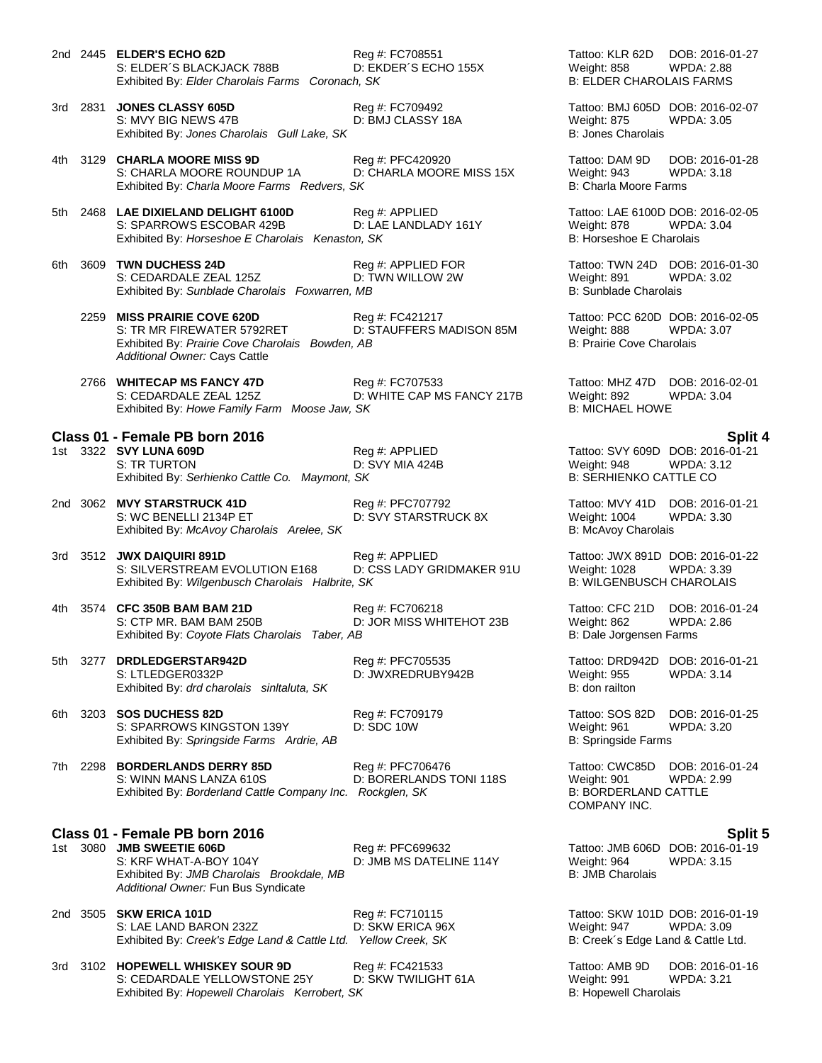- 2nd 2445 **ELDER'S ECHO 62D** Reg #: FC708551 Tattoo: KLR 62D DOB: 2016-01-27 S: ELDER´S BLACKJACK 788B D: EKDER´S ECHO 155X Weight: 858 WPDA: 2.88<br>Exhibited By: Elder Charolais Farms Coronach, SK B: ELDER CHAROLAIS FARMS Exhibited By: Elder Charolais Farms Coronach, SK 3rd 2831 **JONES CLASSY 605D** Reg #: FC709492 Tattoo: BMJ 605D DOB: 2016-02-07 S: MVY BIG NEWS 47B D: BMJ CLASSY 18A Weight: 875 WPDA: 3.05 Exhibited By: *Jones Charolais Gull Lake, SK* B: Jones Charolais B: Jones Charolais 4th 3129 **CHARLA MOORE MISS 9D** Reg #: PFC420920 Tattoo: DAM 9D DOB: 2016-01-28 S: CHARLA MOORE ROUNDUP 1A D: CHARLA MOORE MISS 15X Weight: 943 WPDA: 3.18 Exhibited By: *Charla Moore Farms Redvers, SK* B: Charla Moore Farms **B**: Charla Moore Farms 5th 2468 **LAE DIXIELAND DELIGHT 6100D** Reg #: APPLIED Tattoo: LAE 6100D DOB: 2016-02-05 S: SPARROWS ESCOBAR 429B D: LAE LANDLADY 161Y Weight: 878 WPDA: 3.04<br>
Exhibited By: Horseshoe E Charolais Kenaston. SK B: Horseshoe E Charolais Exhibited By: *Horseshoe E Charolais Kenaston, SK* 6th 3609 **TWN DUCHESS 24D** Reg #: APPLIED FOR Tattoo: TWN 24D DOB: 2016-01-30<br>S: CEDARDALE ZEAL 125Z D: TWN WILLOW 2W Weight: 891 WPDA: 3.02 S: CEDARDALE ZEAL 125Z D: TWN WILLOW 2W Weight: 891 WPDA: 3.02 Exhibited By: Sunblade Charolais Foxwarren, MB 2259 **MISS PRAIRIE COVE 620D**<br>
2259 **MISS PRAIRIE COVE 620D Reg #: FC421217** Tattoo: PCC 620D DOB: 2016-02-05<br>
20.5 C. TR MR FIREWATER 5792RET D: STAUFFERS MADISON 85M Weight: 888 WPDA: 3.07 D: STAUFFERS MADISON 85M Exhibited By: Prairie Cove Charolais Bowden, AB **B: Prairie Cove Charolais** B: Prairie Cove Charolais *Additional Owner:* Cays Cattle 2766 **WHITECAP MS FANCY 47D** Reg #: FC707533 Tattoo: MHZ 47D DOB: 2016-02-01 S: CEDARDALE ZEAL 125Z D: WHITE CAP MS FANCY 217B Weight: 892 WPDA: 3.04<br>Exhibited By: Howe Family Farm Moose Jaw. SK B: MICHAEL HOWE Exhibited By: Howe Family Farm Moose Jaw, SK **Class 01 - Female PB born 2016 Split 4** Reg #: APPLIED Tattoo: SVY 609D DOB: 2016-01-21 S: TR TURTON D: SVY MIA 424B Weight: 948 WPDA: 3.12 Exhibited By: Serhienko Cattle Co. Maymont, SK **B: SERHIENKO CATTLE CO.** B: SERHIENKO CATTLE CO 2nd 3062 **MVY STARSTRUCK 41D** Reg #: PFC707792 Tattoo: MVY 41D DOB: 2016-01-21 S: WC BENELLI 2134P ET **DE SUY STARSTRUCK 8X** Weight: 1004 WPDA: 3.30 Exhibited By: *McAvoy Charolais Arelee, SK* B: McAvoy Charolais Arelee, SK B: McAvoy Charolais Arelee, SK B: McAvoy Charolais Arelee, SK B: McAvoy Charolais Arelee, SK B: McAvoy Charolais Arelee, SK B: McAvoy Charolais Are 3rd 3512 **JWX DAIQUIRI 891D** Reg #: APPLIED Tattoo: JWX 891D DOB: 2016-01-22 S: SILVERSTREAM EVOLUTION E168 D: CSS LADY GRIDMAKER 91U Weight: 1028 WPDA: 3.39<br>Exhibited By: Wilgenbusch Charolais Halbrite, SK Bill Berkhibited By: WILGENBUSCH CHAROLAIS Exhibited By: Wilgenbusch Charolais Halbrite, SK 4th 3574 **CFC 350B BAM BAM 21D** Reg #: FC706218 Tattoo: CFC 21D DOB: 2016-01-24<br>S: CTP MR. BAM BAM 250B D: JOR MISS WHITEHOT 23B Weight: 862 WPDA: 2.86 S: CTP MR. BAM BAM 250B D: JOR MISS WHITEHOT 23B Weight: 862 WPD/<br>Exhibited By: Coyote Flats Charolais Taber, AB B: Dale Jorgensen Farms Exhibited By: Coyote Flats Charolais Taber, AB 5th 3277 **DRDLEDGERSTAR942D** Reg #: PFC705535 Tattoo: DRD942D DOB: 2016-01-21<br>S: LTLEDGER0332P D: JWXREDRUBY942B Weight: 955 WPDA: 3.14 D: JWXREDRUBY942B Weight: 955<br>B: don railton Exhibited By: *drd charolais sinltaluta, SK* 6th 3203 **SOS DUCHESS 82D** Reg #: FC709179 Tattoo: SOS 82D DOB: 2016-01-25 S: SPARROWS KINGSTON 139Y D: SDC 10W Weight: 961 WPDA: 3.20 Exhibited By: *Springside Farms Ardrie, AB* B: Springside Farms Ardrie, AB B: Springside Farms 7th 2298 **BORDERLANDS DERRY 85D** Reg #: PFC706476 Tattoo: CWC85D DOB: 2016-01-24 S: WINN MANS LANZA 610S **D: BORERLANDS TONI 118S** Weight: 901 WPDA: 2.99<br>Exhibited By: Borderland Cattle Company Inc. Rockglen, SK B: BORDERLAND CATTLE Exhibited By: *Borderland Cattle Company Inc. Rockglen, SK* **Class 01 - Female PB born 2016 Split 5** Reg #: PFC699632 Tattoo: JMB 606D DOB: 2016-01-19 S: KRF WHAT-A-BOY 104Y D: JMB MS DATELINE 114Y Weight: 964 WPDA: 3.15 Exhibited By: *JMB Charolais Brookdale, MB* B: JMB Charolais Brookdale, MB *Additional Owner:* Fun Bus Syndicate 2nd 3505 **SKW ERICA 101D** Reg #: FC710115 Tattoo: SKW 101D DOB: 2016-01-19 S: LAE LAND BARON 232Z D: SKW ERICA 96X Weight: 947 WPDA: 3.09 Exhibited By: *Creek's Edge Land & Cattle Ltd.* Yellow Creek, SK B: Creek's Edge Land & Cattle Ltd.
- 3rd 3102 **HOPEWELL WHISKEY SOUR 9D** Reg #: FC421533 Tattoo: AMB 9D DOB: 2016-01-16 S: CEDARDALE YELLOWSTONE 25Y D: SKW TWILIGHT 61A Weight: 991 WPDA: 3.21 Exhibited By: *Hopewell Charolais Kerrobert, SK* B: Hopewell Charolais **B:** Hopewell Charolais

COMPANY INC.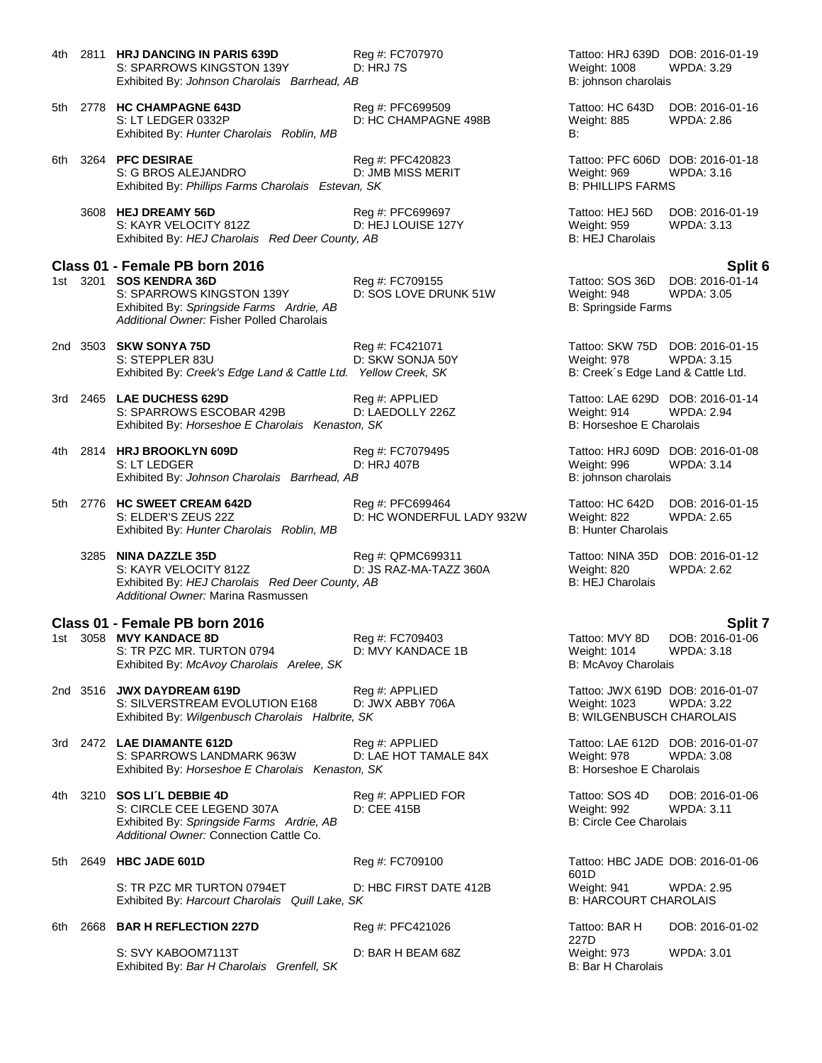| 4th - | 2811 HRJ DANCING IN PARIS 639D<br>S: SPARROWS KINGSTON 139Y<br>Exhibited By: Johnson Charolais Barrhead, AB                                      | Reg #: FC707970<br>D: HRJ 7S                  | Tattoo: HRJ 639D DOB: 2016-01-19<br>Weight: 1008<br>B: johnson charolais             | <b>WPDA: 3.29</b>                    |
|-------|--------------------------------------------------------------------------------------------------------------------------------------------------|-----------------------------------------------|--------------------------------------------------------------------------------------|--------------------------------------|
|       | 5th 2778 HC CHAMPAGNE 643D<br>S: LT LEDGER 0332P<br>Exhibited By: Hunter Charolais Roblin, MB                                                    | Reg #: PFC699509<br>D: HC CHAMPAGNE 498B      | Tattoo: HC 643D<br>Weight: 885<br>B:                                                 | DOB: 2016-01-16<br><b>WPDA: 2.86</b> |
|       | 6th 3264 PFC DESIRAE<br>S: G BROS ALEJANDRO<br>Exhibited By: Phillips Farms Charolais Estevan, SK                                                | Reg #: PFC420823<br>D: JMB MISS MERIT         | Tattoo: PFC 606D DOB: 2016-01-18<br>Weight: 969<br><b>B: PHILLIPS FARMS</b>          | <b>WPDA: 3.16</b>                    |
|       | 3608 HEJ DREAMY 56D<br>S: KAYR VELOCITY 812Z<br>Exhibited By: HEJ Charolais Red Deer County, AB                                                  | Reg #: PFC699697<br>D: HEJ LOUISE 127Y        | Tattoo: HEJ 56D<br>Weight: 959<br><b>B: HEJ Charolais</b>                            | DOB: 2016-01-19<br>WPDA: 3.13        |
|       | Class 01 - Female PB born 2016                                                                                                                   |                                               |                                                                                      | Split 6                              |
|       | 1st 3201 SOS KENDRA 36D<br>S: SPARROWS KINGSTON 139Y<br>Exhibited By: Springside Farms Ardrie, AB<br>Additional Owner: Fisher Polled Charolais   | Reg #: FC709155<br>D: SOS LOVE DRUNK 51W      | Tattoo: SOS 36D<br>Weight: 948<br>B: Springside Farms                                | DOB: 2016-01-14<br><b>WPDA: 3.05</b> |
|       | 2nd 3503 <b>SKW SONYA 75D</b><br>S: STEPPLER 83U<br>Exhibited By: Creek's Edge Land & Cattle Ltd. Yellow Creek, SK                               | Reg #: FC421071<br>D: SKW SONJA 50Y           | Tattoo: SKW 75D DOB: 2016-01-15<br>Weight: 978<br>B: Creek's Edge Land & Cattle Ltd. | <b>WPDA: 3.15</b>                    |
|       | 3rd 2465 LAE DUCHESS 629D<br>S: SPARROWS ESCOBAR 429B<br>Exhibited By: Horseshoe E Charolais Kenaston, SK                                        | Reg #: APPLIED<br>D: LAEDOLLY 226Z            | Tattoo: LAE 629D DOB: 2016-01-14<br>Weight: 914<br>B: Horseshoe E Charolais          | <b>WPDA: 2.94</b>                    |
| 4th - | 2814 HRJ BROOKLYN 609D<br>S: LT LEDGER<br>Exhibited By: Johnson Charolais Barrhead, AB                                                           | Reg #: FC7079495<br>D: HRJ 407B               | Tattoo: HRJ 609D DOB: 2016-01-08<br>Weight: 996<br>B: johnson charolais              | <b>WPDA: 3.14</b>                    |
|       | 5th 2776 HC SWEET CREAM 642D<br>S: ELDER'S ZEUS 22Z<br>Exhibited By: Hunter Charolais Roblin, MB                                                 | Reg #: PFC699464<br>D: HC WONDERFUL LADY 932W | Tattoo: HC 642D<br>Weight: 822<br><b>B: Hunter Charolais</b>                         | DOB: 2016-01-15<br>WPDA: 2.65        |
|       | 3285 NINA DAZZLE 35D<br>S: KAYR VELOCITY 812Z<br>Exhibited By: HEJ Charolais Red Deer County, AB<br>Additional Owner: Marina Rasmussen           | Reg #: QPMC699311<br>D: JS RAZ-MA-TAZZ 360A   | Tattoo: NINA 35D DOB: 2016-01-12<br>Weight: 820<br>B: HEJ Charolais                  | <b>WPDA: 2.62</b>                    |
|       | Class 01 - Female PB born 2016                                                                                                                   |                                               |                                                                                      | <b>Split 7</b>                       |
|       | 1st 3058 MVY KANDACE 8D<br>S: TR PZC MR. TURTON 0794<br>Exhibited By: McAvoy Charolais Arelee, SK                                                | Reg #: FC709403<br>D: MVY KANDACE 1B          | Tattoo: MVY 8D<br>Weight: 1014 WPDA: 3.18<br>B: McAvoy Charolais                     | DOB: 2016-01-06                      |
|       | 2nd 3516 JWX DAYDREAM 619D<br>S: SILVERSTREAM EVOLUTION E168<br>Exhibited By: Wilgenbusch Charolais Halbrite, SK                                 | Reg #: APPLIED<br>D: JWX ABBY 706A            | Tattoo: JWX 619D DOB: 2016-01-07<br>Weight: 1023<br><b>B: WILGENBUSCH CHAROLAIS</b>  | <b>WPDA: 3.22</b>                    |
|       | 3rd 2472 LAE DIAMANTE 612D<br>S: SPARROWS LANDMARK 963W<br>Exhibited By: Horseshoe E Charolais Kenaston, SK                                      | Reg #: APPLIED<br>D: LAE HOT TAMALE 84X       | Tattoo: LAE 612D DOB: 2016-01-07<br>Weight: 978<br>B: Horseshoe E Charolais          | <b>WPDA: 3.08</b>                    |
|       | 4th 3210 SOS LI'L DEBBIE 4D<br>S: CIRCLE CEE LEGEND 307A<br>Exhibited By: Springside Farms Ardrie, AB<br>Additional Owner: Connection Cattle Co. | Reg #: APPLIED FOR<br>D: CEE 415B             | Tattoo: SOS 4D<br>Weight: 992<br>B: Circle Cee Charolais                             | DOB: 2016-01-06<br><b>WPDA: 3.11</b> |
|       | 5th 2649 HBC JADE 601D                                                                                                                           | Reg #: FC709100                               | Tattoo: HBC JADE DOB: 2016-01-06<br>601D                                             |                                      |
|       | S: TR PZC MR TURTON 0794ET<br>Exhibited By: Harcourt Charolais Quill Lake, SK                                                                    | D: HBC FIRST DATE 412B                        | Weight: 941<br><b>B: HARCOURT CHAROLAIS</b>                                          | <b>WPDA: 2.95</b>                    |
| 6th.  | 2668 BAR H REFLECTION 227D                                                                                                                       | Reg #: PFC421026                              | Tattoo: BAR H                                                                        | DOB: 2016-01-02                      |
|       | S: SVY KABOOM7113T<br>Exhibited By: Bar H Charolais Grenfell, SK                                                                                 | D: BAR H BEAM 68Z                             | 227D<br>Weight: 973<br>B: Bar H Charolais                                            | <b>WPDA: 3.01</b>                    |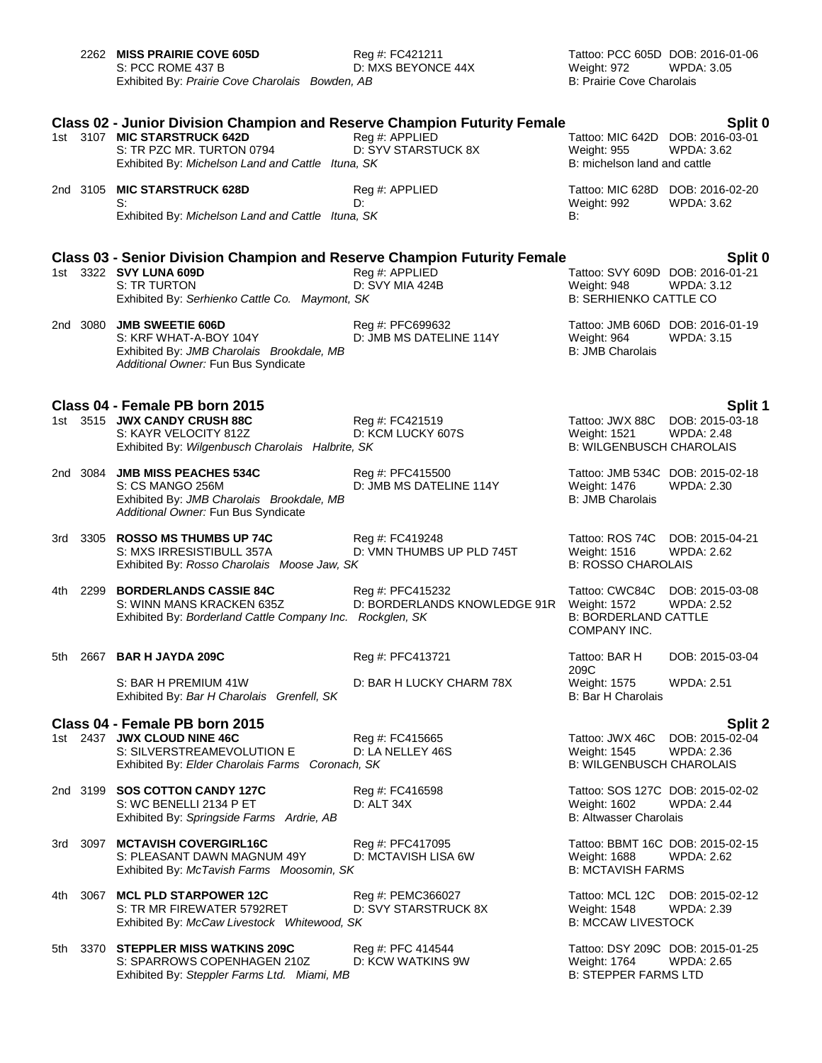|     |          | 2262 MISS PRAIRIE COVE 605D<br>S: PCC ROME 437 B<br>Exhibited By: Prairie Cove Charolais Bowden, AB                                                                                               | Reg #: FC421211<br>D: MXS BEYONCE 44X            | Tattoo: PCC 605D DOB: 2016-01-06<br>Weight: 972<br>B: Prairie Cove Charolais             | WPDA: 3.05                                      |
|-----|----------|---------------------------------------------------------------------------------------------------------------------------------------------------------------------------------------------------|--------------------------------------------------|------------------------------------------------------------------------------------------|-------------------------------------------------|
|     |          | <b>Class 02 - Junior Division Champion and Reserve Champion Futurity Female</b><br>1st 3107 MIC STARSTRUCK 642D<br>S: TR PZC MR. TURTON 0794<br>Exhibited By: Michelson Land and Cattle Ituna, SK | Reg #: APPLIED<br>D: SYV STARSTUCK 8X            | Tattoo: MIC 642D DOB: 2016-03-01<br><b>Weight: 955</b><br>B: michelson land and cattle   | Split 0<br><b>WPDA: 3.62</b>                    |
|     | 2nd 3105 | <b>MIC STARSTRUCK 628D</b><br>S:<br>Exhibited By: Michelson Land and Cattle Ituna, SK                                                                                                             | Reg #: APPLIED<br>D:                             | Tattoo: MIC 628D DOB: 2016-02-20<br>Weight: 992<br>B:                                    | WPDA: 3.62                                      |
|     |          | <b>Class 03 - Senior Division Champion and Reserve Champion Futurity Female</b><br>1st 3322 SVY LUNA 609D<br>S: TR TURTON<br>Exhibited By: Serhienko Cattle Co. Maymont, SK                       | Reg #: APPLIED<br>D: SVY MIA 424B                | Tattoo: SVY 609D DOB: 2016-01-21<br>Weight: 948<br><b>B: SERHIENKO CATTLE CO</b>         | Split 0<br><b>WPDA: 3.12</b>                    |
|     |          | 2nd 3080 JMB SWEETIE 606D<br>S: KRF WHAT-A-BOY 104Y<br>Exhibited By: JMB Charolais Brookdale, MB<br>Additional Owner: Fun Bus Syndicate                                                           | Reg #: PFC699632<br>D: JMB MS DATELINE 114Y      | Tattoo: JMB 606D DOB: 2016-01-19<br>Weight: 964<br><b>B: JMB Charolais</b>               | WPDA: 3.15                                      |
|     |          |                                                                                                                                                                                                   |                                                  |                                                                                          |                                                 |
|     |          | Class 04 - Female PB born 2015<br>1st 3515 JWX CANDY CRUSH 88C<br>S: KAYR VELOCITY 812Z<br>Exhibited By: Wilgenbusch Charolais Halbrite, SK                                                       | Reg #: FC421519<br>D: KCM LUCKY 607S             | Tattoo: JWX 88C<br>Weight: 1521<br><b>B: WILGENBUSCH CHAROLAIS</b>                       | Split 1<br>DOB: 2015-03-18<br><b>WPDA: 2.48</b> |
|     | 2nd 3084 | <b>JMB MISS PEACHES 534C</b><br>S: CS MANGO 256M<br>Exhibited By: JMB Charolais Brookdale, MB<br>Additional Owner: Fun Bus Syndicate                                                              | Reg #: PFC415500<br>D: JMB MS DATELINE 114Y      | Tattoo: JMB 534C DOB: 2015-02-18<br>Weight: 1476<br><b>B: JMB Charolais</b>              | <b>WPDA: 2.30</b>                               |
|     |          | 3rd 3305 <b>ROSSO MS THUMBS UP 74C</b><br>S: MXS IRRESISTIBULL 357A<br>Exhibited By: Rosso Charolais Moose Jaw, SK                                                                                | Reg #: FC419248<br>D: VMN THUMBS UP PLD 745T     | Tattoo: ROS 74C<br>Weight: 1516<br><b>B: ROSSO CHAROLAIS</b>                             | DOB: 2015-04-21<br><b>WPDA: 2.62</b>            |
| 4th | 2299     | <b>BORDERLANDS CASSIE 84C</b><br>S: WINN MANS KRACKEN 635Z<br>Exhibited By: Borderland Cattle Company Inc. Rockglen, SK                                                                           | Reg #: PFC415232<br>D: BORDERLANDS KNOWLEDGE 91R | Tattoo: CWC84C<br><b>Weight: 1572</b><br><b>B: BORDERLAND CATTLE</b><br>COMPANY INC.     | DOB: 2015-03-08<br><b>WPDA: 2.52</b>            |
| 5th | 2667     | <b>BAR H JAYDA 209C</b>                                                                                                                                                                           | Reg #: PFC413721                                 | Tattoo: BAR H<br>209C                                                                    | DOB: 2015-03-04                                 |
|     |          | S: BAR H PREMIUM 41W<br>Exhibited By: Bar H Charolais Grenfell, SK                                                                                                                                | D: BAR H LUCKY CHARM 78X                         | Weight: 1575<br><b>B: Bar H Charolais</b>                                                | <b>WPDA: 2.51</b>                               |
|     |          | Class 04 - Female PB born 2015                                                                                                                                                                    |                                                  |                                                                                          | Split 2                                         |
|     |          | 1st 2437 JWX CLOUD NINE 46C<br>S: SILVERSTREAMEVOLUTION E<br>Exhibited By: Elder Charolais Farms Coronach, SK                                                                                     | Reg #: FC415665<br>D: LA NELLEY 46S              | Tattoo: JWX 46C<br>Weight: 1545<br><b>B: WILGENBUSCH CHAROLAIS</b>                       | DOB: 2015-02-04<br><b>WPDA: 2.36</b>            |
|     |          | 2nd 3199 SOS COTTON CANDY 127C<br>S: WC BENELLI 2134 P ET<br>Exhibited By: Springside Farms Ardrie, AB                                                                                            | Reg #: FC416598<br>D: ALT 34X                    | Tattoo: SOS 127C DOB: 2015-02-02<br><b>Weight: 1602</b><br><b>B: Altwasser Charolais</b> | <b>WPDA: 2.44</b>                               |
| 3rd | 3097     | <b>MCTAVISH COVERGIRL16C</b><br>S: PLEASANT DAWN MAGNUM 49Y<br>Exhibited By: McTavish Farms Moosomin, SK                                                                                          | Reg #: PFC417095<br>D: MCTAVISH LISA 6W          | Tattoo: BBMT 16C DOB: 2015-02-15<br>Weight: 1688<br><b>B: MCTAVISH FARMS</b>             | WPDA: 2.62                                      |
| 4th | 3067     | <b>MCL PLD STARPOWER 12C</b><br>S: TR MR FIREWATER 5792RET<br>Exhibited By: McCaw Livestock Whitewood, SK                                                                                         | Reg #: PEMC366027<br>D: SVY STARSTRUCK 8X        | Tattoo: MCL 12C<br>Weight: 1548<br><b>B: MCCAW LIVESTOCK</b>                             | DOB: 2015-02-12<br><b>WPDA: 2.39</b>            |
|     |          | 5th 3370 STEPPLER MISS WATKINS 209C<br>S: SPARROWS COPENHAGEN 210Z                                                                                                                                | Reg #: PFC 414544<br>D: KCW WATKINS 9W           | Tattoo: DSY 209C DOB: 2015-01-25<br>Weight: 1764                                         | <b>WPDA: 2.65</b>                               |

Exhibited By: Steppler Farms Ltd. Miami, MB B: STEPPER FARMS LTD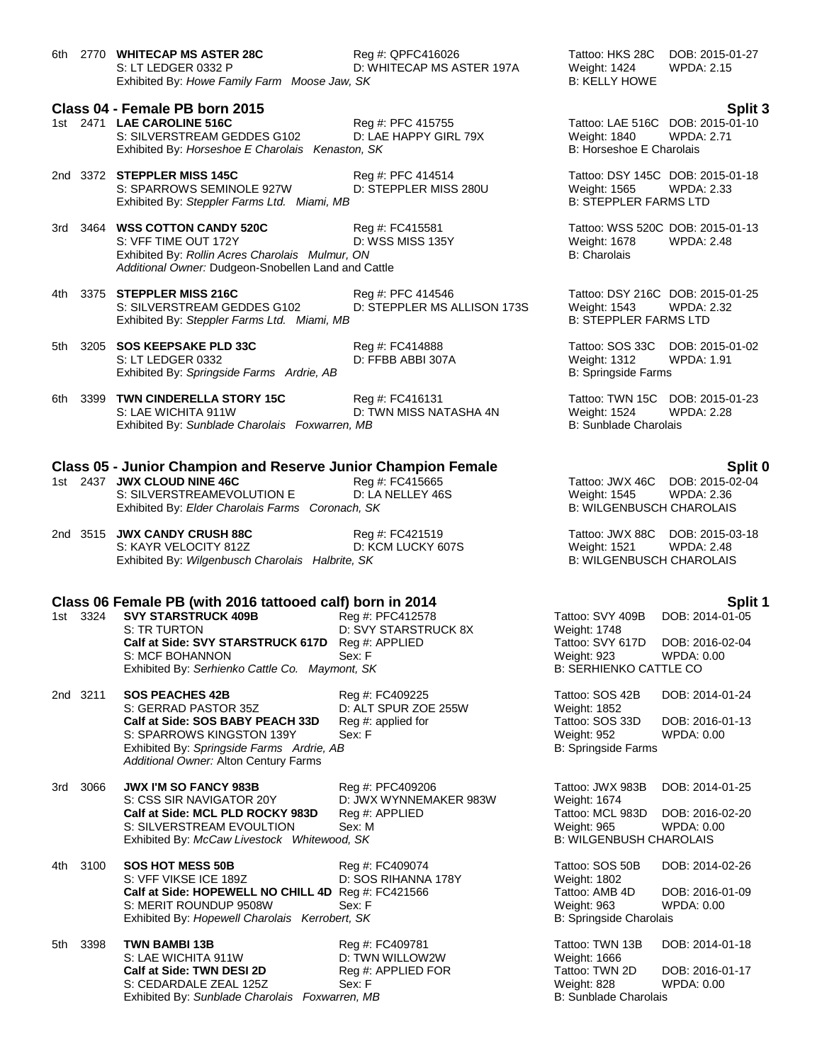6th 2770 **WHITECAP MS ASTER 28C** Reg #: QPFC416026 Tattoo: HKS 28C DOB: 2015-01-27 S: LT LEDGER 0332 P D: WHITECAP MS ASTER 197A Weight: 1424 WPDA: 2.15 Exhibited By: *Howe Family Farm Moose Jaw, SK* B: KELLY HOWE **Class 04 - Female PB born 2015 Split 3** 1st 2471 **LAE CAROLINE 516C** Reg #: PFC 415755 Tattoo: LAE 516C DOB: 2015-01-10 S: SILVERSTREAM GEDDES G102 D: LAE HAPPY GIRL 79X Weight: 1840 WPDA: 2.71 Exhibited By: *Horseshoe E Charolais Kenaston, SK* B: *Horseshoe E Charolais Kenaston, SK* 2nd 3372 **STEPPLER MISS 145C** Reg #: PFC 414514 Tattoo: DSY 145C DOB: 2015-01-18 S: SPARROWS SEMINOLE 927W D: STEPPLER MISS 280U Weight: 1565 WPDA: 2.33<br>
Exhibited By: Steppler Farms Ltd. Miami. MB<br>
B: STEPPLER FARMS LTD Exhibited By: Steppler Farms Ltd. Miami, MB 3rd 3464 **WSS COTTON CANDY 520C** Reg #: FC415581 Reg 2015-01-13<br>S: VFF TIME OUT 172Y D: WSS MISS 135Y Weight: 1678 WPDA: 2.48 S: VFF TIME OUT 172Y Exhibited By: *Rollin Acres Charolais Mulmur, ON* B: Charolais B: Charolais B: Charolais *Additional Owner:* Dudgeon-Snobellen Land and Cattle 4th 3375 **STEPPLER MISS 216C** Reg #: PFC 414546 Tattoo: DSY 216C DOB: 2015-01-25 S: SILVERSTREAM GEDDES G102 D: STEPPLER MS ALLISON 173S Weight: 1543 WPDA: 2.32<br>Exhibited By: Steppler Farms Ltd. Miami. MB Exhibited By: Steppler Farms Ltd. Miami, MB 5th 3205 **SOS KEEPSAKE PLD 33C** Reg #: FC414888 Tattoo: SOS 33C DOB: 2015-01-02 S: LT LEDGER 0332 D: FFBB ABBI 307A Weight: 1312 WPDA: 1.91 Exhibited By: *Springside Farms Ardrie, AB* B: Springside Farms Ardrie, AB B: Springside Farms 6th 3399 **TWN CINDERELLA STORY 15C** Reg #: FC416131 Tattoo: TWN 15C DOB: 2015-01-23 D: TWN MISS NATASHA 4N Exhibited By: *Sunblade Charolais Foxwarren, MB* B: Sunblade Charolais Foxwarren, MB **Class 05 - Junior Champion and Reserve Junior Champion Female Split 0** 1st 2437 **JWX CLOUD NINE 46C** Reg #: FC415665 Tattoo: JWX 46C DOB: 2015-02-04<br>S: SILVERSTREAMEVOLUTION E D: LA NELLEY 46S Weight: 1545 WPDA: 2.36 S: SILVERSTREAMEVOLUTION E D: LA NELLEY 46S Weight: 1545 WPDA: 2.36<br>Exhibited By: *Elder Charolais Farms Coronach. SK* B: WILGENBUSCH CHAROLAIS Exhibited By: *Elder Charolais Farms Coronach, SK* 2nd 3515 **JWX CANDY CRUSH 88C** Reg #: FC421519 Tattoo: JWX 88C DOB: 2015-03-18 S: KAYR VELOCITY 812Z D: KCM LUCKY 607S Weight: 1521 WPDA: 2.48 Exhibited By: *Wilgenbusch Charolais Halbrite, SK* B: WILGENBUSCH CHAROLAIS **Class 06 Female PB (with 2016 tattooed calf) born in 2014 Split 1** 1st 3324 **SVY STARSTRUCK 409B** Req #: PFC412578 Tattoo: SVY 5TARSTRUCK 409B S: TR TURTON D: SVY STARSTRUCK 8X WEIGHT: 1748 **Calf at Side: SVY STARSTRUCK 617D** Reg #: APPLIED T S: MCF BOHANNON Sex: F WEIGHT: 923 WPDA: 923 WPDA: 0.0000 WPDA: 0.0000 WPDA: 0.0000 WPDA: 0.0000 WPD Exhibited By: *Serhienko Cattle Co. Maymont, SK* B: SERFIELD B: SERFIELD B: SERFIELD B: SERFIELD B: SERFIELD B: SERFIELD B: SERFIELD B: SERFIELD B: SERFIELD B: SERFIELD B: SERFIELD B: SERFIELD B: SERFIELD B: SERFIELD B: SE 2nd 3211 **SOS PEACHES 42B** Reg #: FC409225 Tattoo: SOS 42B DOB: 2014-01-24 S: GERRAD PASTOR 35Z D: ALT SPUR ZOE 255W Weight: 1852 **Calf at Side: SOS BABY PEACH 33D** Reg #: applied for Tattoo: SOS 33D DOB: 2016-01-13 S: SPARROWS KINGSTON 139Y Sex: F Weight: 952 WPDA: 0.00 Exhibited By: *Springside Farms Ardrie, AB* B: Springside Farms Ardrie, AB *Additional Owner:* Alton Century Farms 3rd 3066 **JWX I'M SO FANCY 983B** Reg #: PFC409206 Tattoo: JWX 983B DOB: 2014-01-25 S: CSS SIR NAVIGATOR 20Y D: JWX WYNNEMAKER 983W Weight: 1674 **Calf at Side: MCL PLD ROCKY 983D** Reg #: APPLIED Tattoo: MCL 983D DOB: 2016-02-20<br>S: SILVERSTREAM EVOULTION Sex: M<br>Weight: 965 WPDA: 0.00 S: SILVERSTREAM EVOULTION Sex: M<br>
Sex: M Weight: 965 WPDA: 0.000 WPDA: 0.000 Sex: M Weight: 965 WPDA: 0.000 S: WILGENBUSH CHAROLAIS Exhibited By: McCaw Livestock Whitewood, SK 4th 3100 **SOS HOT MESS 50B** Reg #: FC409074 Tattoo: SOS 50B DOB: 2014-02-26 S: VFF VIKSE ICE 189Z D: SOS RIHANNA 178Y Weight: 1802 **Calf at Side: HOPEWELL NO CHILL 4D** Reg #: FC421566 Tattoo: AMB 4D DOB: 2016-01-09<br>S: MERIT ROUNDUP 9508W Sex: F<br>Weight: 963 WPDA: 0.00 S: MERIT ROUNDUP 9508W Sex: F Sex: F Weight: 963

5th 3398 **TWN BAMBI 13B** Reg #: FC409781 Tattoo: TWN 13B DOB: 2014-01-18 S: LAE WICHITA 911W D: TWN WILLOW2W Weight: 1666 **Calf at Side: TWN DESI 2D** Reg #: APPLIED FOR Tattoo: TWN 2D DOB: 2016-01-17 S: CEDARDALE ZEAL 125Z Sex: F Weight: 828 WPDA: 0.00 Exhibited By: Sunblade Charolais Foxwarren, MB B: Sunblade Charolais

| attoo: SVY 409B        | DOB: 2014-01-05 |
|------------------------|-----------------|
| Veight: 1748           |                 |
| attoo: SVY 617D        | DOB: 2016-02-04 |
| Veight: 923            | WPDA: 0.00      |
| 3: SERHIENKO CATTLE CO |                 |
|                        |                 |

Exhibited By: *Hopewell Charolais Kerrobert, SK* B: Springside Charolais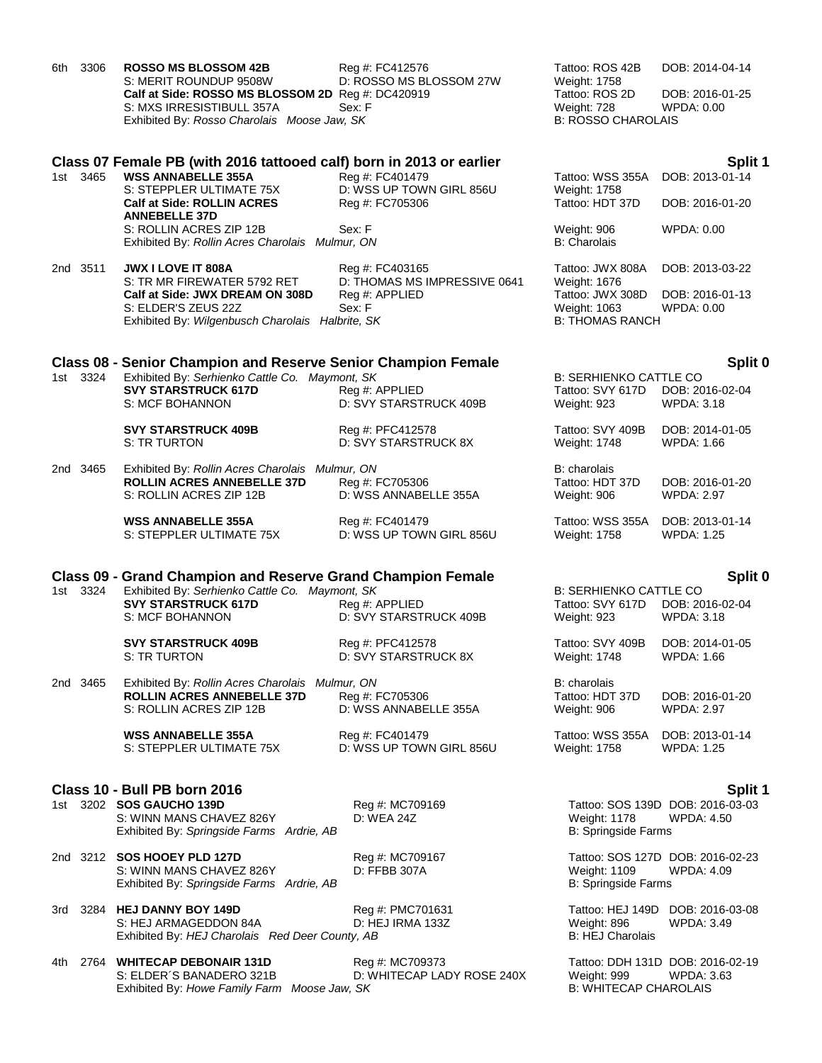| 3306<br>6th | <b>ROSSO MS BLOSSOM 42B</b><br>S: MERIT ROUNDUP 9508W<br>Calf at Side: ROSSO MS BLOSSOM 2D Reg #: DC420919 | Reg #: FC412576<br>D: ROSSO MS BLOSSOM 27W     | Tattoo: ROS 42B<br>Weight: 1758<br>Tattoo: ROS 2D                | DOB: 2014-04-14<br>DOB: 2016-01-25                    |
|-------------|------------------------------------------------------------------------------------------------------------|------------------------------------------------|------------------------------------------------------------------|-------------------------------------------------------|
|             | S: MXS IRRESISTIBULL 357A<br>Exhibited By: Rosso Charolais Moose Jaw, SK                                   | Sex: F                                         | Weight: 728<br><b>B: ROSSO CHAROLAIS</b>                         | WPDA: 0.00                                            |
|             | Class 07 Female PB (with 2016 tattooed calf) born in 2013 or earlier                                       |                                                |                                                                  | Split 1                                               |
| 1st 3465    | <b>WSS ANNABELLE 355A</b>                                                                                  | Reg #: FC401479                                | Tattoo: WSS 355A                                                 | DOB: 2013-01-14                                       |
|             | S: STEPPLER ULTIMATE 75X<br><b>Calf at Side: ROLLIN ACRES</b><br><b>ANNEBELLE 37D</b>                      | D: WSS UP TOWN GIRL 856U<br>Reg #: FC705306    | Weight: 1758<br>Tattoo: HDT 37D                                  | DOB: 2016-01-20                                       |
|             | S: ROLLIN ACRES ZIP 12B<br>Exhibited By: Rollin Acres Charolais Mulmur, ON                                 | Sex: F                                         | Weight: 906<br><b>B:</b> Charolais                               | <b>WPDA: 0.00</b>                                     |
| 2nd 3511    | <b>JWX I LOVE IT 808A</b>                                                                                  | Reg #: FC403165                                | Tattoo: JWX 808A                                                 | DOB: 2013-03-22                                       |
|             | S: TR MR FIREWATER 5792 RET<br>Calf at Side: JWX DREAM ON 308D                                             | D: THOMAS MS IMPRESSIVE 0641<br>Reg #: APPLIED | Weight: 1676<br>Tattoo: JWX 308D                                 | DOB: 2016-01-13                                       |
|             | S: ELDER'S ZEUS 22Z<br>Exhibited By: Wilgenbusch Charolais Halbrite, SK                                    | Sex: F                                         | Weight: 1063<br><b>B: THOMAS RANCH</b>                           | WPDA: 0.00                                            |
|             | <b>Class 08 - Senior Champion and Reserve Senior Champion Female</b>                                       |                                                |                                                                  | Split 0                                               |
| 1st 3324    | Exhibited By: Serhienko Cattle Co. Maymont, SK<br><b>SVY STARSTRUCK 617D</b><br>S: MCF BOHANNON            | Reg #: APPLIED<br>D: SVY STARSTRUCK 409B       | <b>B: SERHIENKO CATTLE CO</b><br>Tattoo: SVY 617D<br>Weight: 923 | DOB: 2016-02-04<br>WPDA: 3.18                         |
|             | <b>SVY STARSTRUCK 409B</b><br>S: TR TURTON                                                                 | Reg #: PFC412578<br>D: SVY STARSTRUCK 8X       | Tattoo: SVY 409B<br>Weight: 1748                                 | DOB: 2014-01-05<br><b>WPDA: 1.66</b>                  |
| 2nd 3465    | Exhibited By: Rollin Acres Charolais Mulmur, ON                                                            |                                                | B: charolais                                                     |                                                       |
|             | <b>ROLLIN ACRES ANNEBELLE 37D</b><br>S: ROLLIN ACRES ZIP 12B                                               | Reg #: FC705306<br>D: WSS ANNABELLE 355A       | Tattoo: HDT 37D<br>Weight: 906                                   | DOB: 2016-01-20<br><b>WPDA: 2.97</b>                  |
|             | <b>WSS ANNABELLE 355A</b><br>S: STEPPLER ULTIMATE 75X                                                      | Reg #: FC401479<br>D: WSS UP TOWN GIRL 856U    | Tattoo: WSS 355A<br>Weight: 1758                                 | DOB: 2013-01-14<br><b>WPDA: 1.25</b>                  |
|             | <b>Class 09 - Grand Champion and Reserve Grand Champion Female</b>                                         |                                                |                                                                  | Split 0                                               |
| 1st 3324    | Exhibited By: Serhienko Cattle Co. Maymont, SK<br><b>SVY STARSTRUCK 617D</b><br>S: MCF BOHANNON            | Reg #: APPLIED<br>D: SVY STARSTRUCK 409B       | <b>B: SERHIENKO CATTLE CO</b><br>Tattoo: SVY 617D<br>Weight: 923 | DOB: 2016-02-04<br><b>WPDA: 3.18</b>                  |
|             | <b>SVY STARSTRUCK 409B</b><br>S: TR TURTON                                                                 | Reg #: PFC412578<br>D: SVY STARSTRUCK 8X       | Tattoo: SVY 409B<br>Weight: 1748                                 | DOB: 2014-01-05<br>WPDA: 1.66                         |
| 2nd 3465    | Exhibited By: Rollin Acres Charolais Mulmur, ON<br><b>ROLLIN ACRES ANNEBELLE 37D</b>                       |                                                | B: charolais<br>Tattoo: HDT 37D                                  |                                                       |
|             | S: ROLLIN ACRES ZIP 12B                                                                                    | Reg #: FC705306<br>D: WSS ANNABELLE 355A       | Weight: 906                                                      | DOB: 2016-01-20<br><b>WPDA: 2.97</b>                  |
|             | <b>WSS ANNABELLE 355A</b><br>S: STEPPLER ULTIMATE 75X                                                      | Reg #: FC401479<br>D: WSS UP TOWN GIRL 856U    | Tattoo: WSS 355A<br><b>Weight: 1758</b>                          | DOB: 2013-01-14<br><b>WPDA: 1.25</b>                  |
|             | Class 10 - Bull PB born 2016                                                                               |                                                |                                                                  | Split 1                                               |
|             | 1st 3202 SOS GAUCHO 139D<br>S: WINN MANS CHAVEZ 826Y<br>Exhibited By: Springside Farms Ardrie, AB          | Reg #: MC709169<br>D: WEA 24Z                  | <b>Weight: 1178</b><br><b>B: Springside Farms</b>                | Tattoo: SOS 139D DOB: 2016-03-03<br><b>WPDA: 4.50</b> |
|             | 2nd 3212 SOS HOOEY PLD 127D<br>S: WINN MANS CHAVEZ 826Y<br>Exhibited By: Springside Farms Ardrie, AB       | Reg #: MC709167<br>D: FFBB 307A                | <b>Weight: 1109</b><br><b>B: Springside Farms</b>                | Tattoo: SOS 127D DOB: 2016-02-23<br>WPDA: 4.09        |
| 3rd         | 3284 HEJ DANNY BOY 149D                                                                                    | Reg #: PMC701631                               | Tattoo: HEJ 149D                                                 | DOB: 2016-03-08                                       |
|             | S: HEJ ARMAGEDDON 84A<br>Exhibited By: HEJ Charolais Red Deer County, AB                                   | D: HEJ IRMA 133Z                               | Weight: 896<br><b>B: HEJ Charolais</b>                           | WPDA: 3.49                                            |
| 4th.        | 2764 WHITECAP DEBONAIR 131D<br>S: ELDER'S BANADERO 321B<br>Exhibited By: Howe Family Farm Moose Jaw, SK    | Reg #: MC709373<br>D: WHITECAP LADY ROSE 240X  | Weight: 999<br><b>B: WHITECAP CHAROLAIS</b>                      | Tattoo: DDH 131D DOB: 2016-02-19<br>WPDA: 3.63        |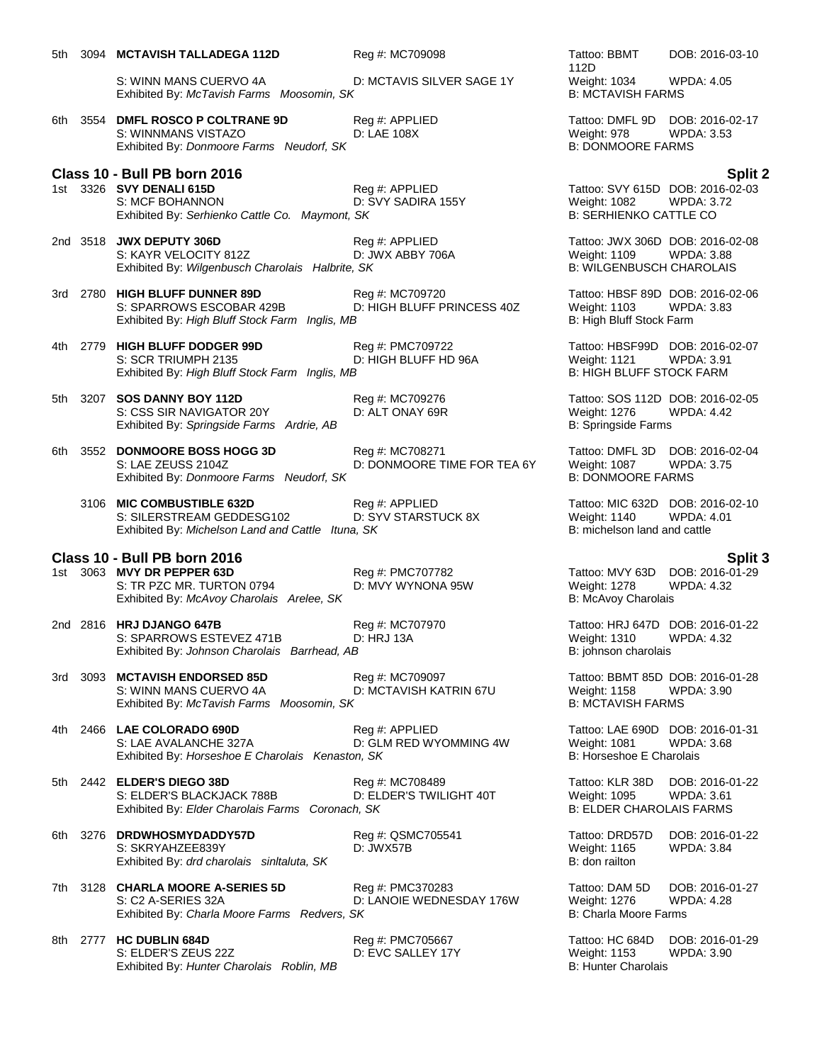|      | S: WINN MANS CUERVO 4A<br>Exhibited By: McTavish Farms Moosomin, SK                                         | D: MCTAVIS SILVER SAGE 1Y                      | 112D<br>Weight: 1034<br><b>B: MCTAVISH FARMS</b>                                    | WPDA: 4.05                                            |
|------|-------------------------------------------------------------------------------------------------------------|------------------------------------------------|-------------------------------------------------------------------------------------|-------------------------------------------------------|
| 6th  | 3554 DMFL ROSCO P COLTRANE 9D<br>S: WINNMANS VISTAZO<br>Exhibited By: Donmoore Farms Neudorf, SK            | Reg #: APPLIED<br>D: LAE 108X                  | Tattoo: DMFL 9D<br>Weight: 978<br><b>B: DONMOORE FARMS</b>                          | DOB: 2016-02-17<br><b>WPDA: 3.53</b>                  |
|      | Class 10 - Bull PB born 2016                                                                                |                                                |                                                                                     | Split 2                                               |
|      | 1st 3326 SVY DENALI 615D<br>S: MCF BOHANNON<br>Exhibited By: Serhienko Cattle Co. Maymont, SK               | Reg #: APPLIED<br>D: SVY SADIRA 155Y           | Weight: 1082<br><b>B: SERHIENKO CATTLE CO</b>                                       | Tattoo: SVY 615D DOB: 2016-02-03<br><b>WPDA: 3.72</b> |
|      | 2nd 3518 JWX DEPUTY 306D<br>S: KAYR VELOCITY 812Z<br>Exhibited By: Wilgenbusch Charolais Halbrite, SK       | Reg #: APPLIED<br>D: JWX ABBY 706A             | Tattoo: JWX 306D DOB: 2016-02-08<br>Weight: 1109<br><b>B: WILGENBUSCH CHAROLAIS</b> | <b>WPDA: 3.88</b>                                     |
| 3rd  | 2780 HIGH BLUFF DUNNER 89D<br>S: SPARROWS ESCOBAR 429B<br>Exhibited By: High Bluff Stock Farm Inglis, MB    | Reg #: MC709720<br>D: HIGH BLUFF PRINCESS 40Z  | Tattoo: HBSF 89D DOB: 2016-02-06<br><b>Weight: 1103</b><br>B: High Bluff Stock Farm | WPDA: 3.83                                            |
| 4th  | 2779 HIGH BLUFF DODGER 99D<br>S: SCR TRIUMPH 2135<br>Exhibited By: High Bluff Stock Farm Inglis, MB         | Reg #: PMC709722<br>D: HIGH BLUFF HD 96A       | Tattoo: HBSF99D<br><b>Weight: 1121</b><br><b>B: HIGH BLUFF STOCK FARM</b>           | DOB: 2016-02-07<br><b>WPDA: 3.91</b>                  |
| 5th  | 3207 SOS DANNY BOY 112D<br>S: CSS SIR NAVIGATOR 20Y<br>Exhibited By: Springside Farms Ardrie, AB            | Reg #: MC709276<br>D: ALT ONAY 69R             | Tattoo: SOS 112D DOB: 2016-02-05<br>Weight: 1276<br>B: Springside Farms             | <b>WPDA: 4.42</b>                                     |
| 6th  | 3552 DONMOORE BOSS HOGG 3D<br>S: LAE ZEUSS 2104Z<br>Exhibited By: Donmoore Farms Neudorf, SK                | Reg #: MC708271<br>D: DONMOORE TIME FOR TEA 6Y | Tattoo: DMFL 3D<br>Weight: 1087<br><b>B: DONMOORE FARMS</b>                         | DOB: 2016-02-04<br><b>WPDA: 3.75</b>                  |
|      | 3106 MIC COMBUSTIBLE 632D<br>S: SILERSTREAM GEDDESG102<br>Exhibited By: Michelson Land and Cattle Ituna, SK | Reg #: APPLIED<br>D: SYV STARSTUCK 8X          | Tattoo: MIC 632D DOB: 2016-02-10<br>Weight: 1140<br>B: michelson land and cattle    | <b>WPDA: 4.01</b>                                     |
|      | Class 10 - Bull PB born 2016                                                                                |                                                |                                                                                     |                                                       |
| 1st  | 3063 MVY DR PEPPER 63D<br>S: TR PZC MR. TURTON 0794<br>Exhibited By: McAvoy Charolais Arelee, SK            | Reg #: PMC707782<br>D: MVY WYNONA 95W          | Tattoo: MVY 63D<br><b>Weight: 1278</b><br>B: McAvoy Charolais                       | Split 3<br>DOB: 2016-01-29<br><b>WPDA: 4.32</b>       |
|      | 2nd 2816 HRJ DJANGO 647B<br>S: SPARROWS ESTEVEZ 471B<br>Exhibited By: Johnson Charolais Barrhead, AB        | Reg #: MC707970<br>D: HRJ 13A                  | Tattoo: HRJ 647D DOB: 2016-01-22<br>Weight: 1310<br>B: johnson charolais            | <b>WPDA: 4.32</b>                                     |
| 3rd  | 3093 MCTAVISH ENDORSED 85D<br>S: WINN MANS CUERVO 4A<br>Exhibited By: McTavish Farms Moosomin, SK           | Reg #: MC709097<br>D: MCTAVISH KATRIN 67U      | Tattoo: BBMT 85D DOB: 2016-01-28<br><b>Weight: 1158</b><br><b>B: MCTAVISH FARMS</b> | <b>WPDA: 3.90</b>                                     |
| 4th. | 2466 LAE COLORADO 690D<br>S: LAE AVALANCHE 327A<br>Exhibited By: Horseshoe E Charolais Kenaston, SK         | Reg #: APPLIED<br>D: GLM RED WYOMMING 4W       | Tattoo: LAE 690D DOB: 2016-01-31<br>Weight: 1081<br>B: Horseshoe E Charolais        | <b>WPDA: 3.68</b>                                     |
| 5th  | 2442 ELDER'S DIEGO 38D<br>S: ELDER'S BLACKJACK 788B<br>Exhibited By: Elder Charolais Farms Coronach, SK     | Reg #: MC708489<br>D: ELDER'S TWILIGHT 40T     | Tattoo: KLR 38D<br>Weight: 1095<br><b>B: ELDER CHAROLAIS FARMS</b>                  | DOB: 2016-01-22<br><b>WPDA: 3.61</b>                  |
| 6th  | 3276 DRDWHOSMYDADDY57D<br>S: SKRYAHZEE839Y<br>Exhibited By: drd charolais sinitaluta, SK                    | Reg #: QSMC705541<br>D: JWX57B                 | Tattoo: DRD57D<br>Weight: 1165<br>B: don railton                                    | DOB: 2016-01-22<br><b>WPDA: 3.84</b>                  |
| 7th  | 3128 CHARLA MOORE A-SERIES 5D<br>S: C2 A-SERIES 32A<br>Exhibited By: Charla Moore Farms Redvers, SK         | Reg #: PMC370283<br>D: LANOIE WEDNESDAY 176W   | Tattoo: DAM 5D<br>Weight: 1276<br><b>B: Charla Moore Farms</b>                      | DOB: 2016-01-27<br><b>WPDA: 4.28</b>                  |
| 8th  | 2777 HC DUBLIN 684D                                                                                         | Reg #: PMC705667                               | Tattoo: HC 684D                                                                     | DOB: 2016-01-29                                       |

Exhibited By: *Hunter Charolais Roblin, MB* B: Hunter Charolais B: Hunter Charolais

5th 3094 MCTAVISH TALLADEGA 112D Reg #: MC709098 Tattoo: BBMT

DOB: 2016-03-10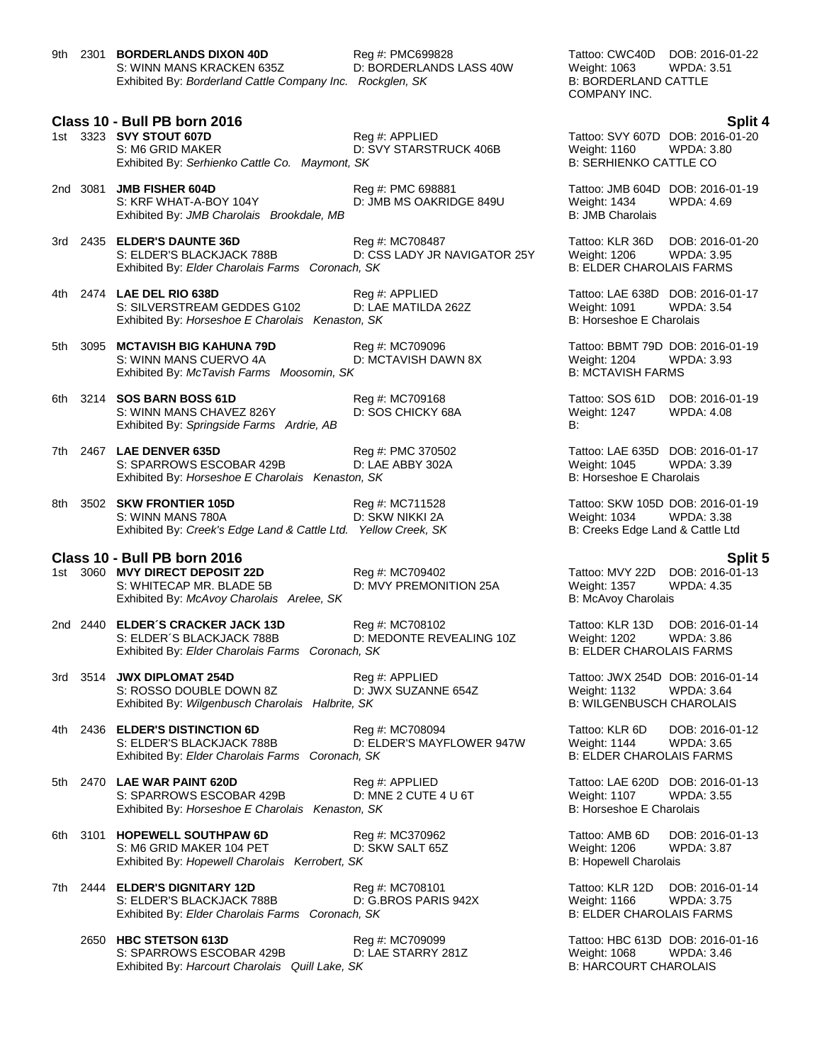9th 2301 **BORDERLANDS DIXON 40D** Reg #: PMC699828 Tattoo: CWC40D DOB: 2016-01-22 S: WINN MANS KRACKEN 635Z D: BORDERLANDS LASS 40W Weight: 1063 WPDA: 3.51<br>Exhibited By: Borderland Cattle Company Inc. Rockglen, SK B: BORDERLAND CATTLE Exhibited By: *Borderland Cattle Company Inc. Rockglen, SK* 

## **Class 10 - Bull PB born 2016 Split 4**

|  | 1st 3323 <b>SVY STOUT 607D</b>                 | Reg #: APPLIED         | Tattoo: SVY 607D DOB: 2016-01-20 |            |
|--|------------------------------------------------|------------------------|----------------------------------|------------|
|  | S: M6 GRID MAKER                               | D: SVY STARSTRUCK 406B | Weight: 1160                     | WPDA: 3.80 |
|  | Exhibited By: Serhienko Cattle Co. Maymont, SK |                        | B: SERHIENKO CATTLE CO           |            |

- 2nd 3081 **JMB FISHER 604D** Reg #: PMC 698881 Tattoo: JMB 604D DOB: 2016-01-19 S: KRF WHAT-A-BOY 104Y D: JMB MS OAKRIDGE 849U Weight: 1434 WPDA: 4.69 Exhibited By: *JMB Charolais Brookdale, MB* B: JMB Charolais Brookdale, MB
- 3rd 2435 **ELDER'S DAUNTE 36D** Reg #: MC708487 Tattoo: KLR 36D DOB: 2016-01-20 S: ELDER'S BLACKJACK 788B D: CSS LADY JR NAVIGATOR 25Y Weight: 1206 WPDA: 3.95 Exhibited By: *Elder Charolais Farms Coronach, SK* B: ELDER CHAROLAIS FARMS
- 4th 2474 **LAE DEL RIO 638D** Reg #: APPLIED Tattoo: LAE 638D DOB: 2016-01-17 S: SILVERSTREAM GEDDES G102 
<br>
Exhibited By: Horseshoe E Charolais Kenaston. SK

B: Horseshoe E Charolais (Charolais Kenaston. SK

Latibited By: Horseshoe E Charolais Exhibited By: Horseshoe E Charolais Kenaston, SK
- 5th 3095 **MCTAVISH BIG KAHUNA 79D** Reg #: MC709096 Tattoo: BBMT 79D DOB: 2016-01-19 S: WINN MANS CUERVO 4A D: MCTAVISH DAWN 8X Weight: 1204 WPDA: 3.93<br>Exhibited By: *McTavish Farms Moosomin. SK* B: MCTAVISH FARMS Exhibited By: McTavish Farms Moosomin, SK
- 6th 3214 **SOS BARN BOSS 61D** Reg #: MC709168 Tattoo: SOS 61D DOB: 2016-01-19 S: WINN MANS CHAVEZ 826Y Exhibited By: *Springside Farms Ardrie, AB* B:
- 7th 2467 **LAE DENVER 635D** Reg #: PMC 370502 Tattoo: LAE 635D DOB: 2016-01-17 S: SPARROWS ESCOBAR 429B D: LAE ABBY 302A Weight: 1045 WPDA: 3.39 Exhibited By: *Horseshoe E Charolais Kenaston, SK* B: *Horseshoe E Charolais*
- 8th 3502 **SKW FRONTIER 105D** Reg #: MC711528 Tattoo: SKW 105D DOB: 2016-01-19 S: WINN MANS 780A D: SKW NIKKI 2A Weight: 1034 WPDA: 3.38 Exhibited By: *Creek's Edge Land & Cattle Ltd.* Yellow Creek, SK B: Creeks Edge Land & Cattle Ltd

## **Class 10 - Bull PB born 2016 Split 5**

1st 3060 **MVY DIRECT DEPOSIT 22D** Reg #: MC709402 **Tattoo: MVY 22D DOB: 2016-01-13**<br>S: WHITECAP MR. BLADE 5B D: MVY PREMONITION 25A Weight: 1357 WPDA: 4.35 S: WHITECAP MR. BLADE 5B D: MVY PREMONITION 25A Weight: 1357 Exhibited By: *McAvoy Charolais Arelee, SK* B: McAvoy Charolais Arelee, SK B: McAvoy Charolais

2nd 2440 **ELDER´S CRACKER JACK 13D** Reg #: MC708102 Tattoo: KLR 13D DOB: 2016-01-14 S: ELDER´S BLACKJACK 788B D: MEDONTE REVEALING 10Z Weight: 1202 WPDA: 3.86 Exhibited By: *Elder Charolais Farms Coronach, SK* B: ELDER CHAROLAIS FARMS

3rd 3514 **JWX DIPLOMAT 254D** Reg #: APPLIED Tattoo: JWX 254D DOB: 2016-01-14 S: ROSSO DOUBLE DOWN 8Z D: JWX SUZANNE 654Z Weight: 1132 WPDA: 3.64<br>Exhibited By: Wilgenbusch Charolais Halbrite, SK Binder B: WILGENBUSCH CHAROLAIS Exhibited By: Wilgenbusch Charolais Halbrite, SK

4th 2436 **ELDER'S DISTINCTION 6D** Reg #: MC708094 Tattoo: KLR 6D DOB: 2016-01-12 S: ELDER'S BLACKJACK 788B D: ELDER'S MAYFLOWER 947W Weight: 1144 WPDA: 3.65<br>Exhibited By: Elder Charolais Farms Coronach. SK B: ELDER CHAROLAIS FARMS Exhibited By: Elder Charolais Farms Coronach, SK

- 5th 2470 **LAE WAR PAINT 620D Reg #: APPLIED Tattoo: LAE 620D DOB: 2016-01-13**<br>S: SPARROWS ESCOBAR 429B **D: MNE 2 CUTE 4 U 6T** Weight: 1107 WPDA: 3.55 S: SPARROWS ESCOBAR 429B D: MNE 2 CUTE 4 U 6T Weight: 1107 Exhibited By: *Horseshoe E Charolais Kenaston, SK* B: Horseshoe E Charolais Charolais
- 6th 3101 **HOPEWELL SOUTHPAW 6D** Reg #: MC370962 Regonal Rattoo: AMB 6D DOB: 2016-01-13 S: M6 GRID MAKER 104 PET D: SKW SALT 65Z Weight: 1206 WPDA: 3.87 Exhibited By: *Hopewell Charolais Kerrobert, SK* B: Hopewell Charolais And The B: Hopewell Charolais And The B: Hopewell Charolais And The B: Hopewell Charolais And The B: Hopewell Charolais And The B: Hopewell Charolais A
- 7th 2444 **ELDER'S DIGNITARY 12D** Reg #: MC708101 Resource of Tattoo: KLR 12D DOB: 2016-01-14<br>S: ELDER'S BLACKJACK 788B D: G.BROS PARIS 942X Weight: 1166 WPDA: 3.75 S: ELDER'S BLACKJACK 788B D: G.BROS PARIS 942X Weight: 1166 WPDA: 3.75 Exhibited By: *Elder Charolais Farms Coronach, SK* B: ELDER CHAROLAIS FARMS
	- 2650 **HBC STETSON 613D** Reg #: MC709099 Tattoo: HBC 613D DOB: 2016-01-16 S: SPARROWS ESCOBAR 429B D: LAE STARRY 281Z Weight: 1068 WPDA: 3.46 Exhibited By: *Harcourt Charolais Quill Lake, SK* B: *HARCOURT CHAROLAIS*

COMPANY INC.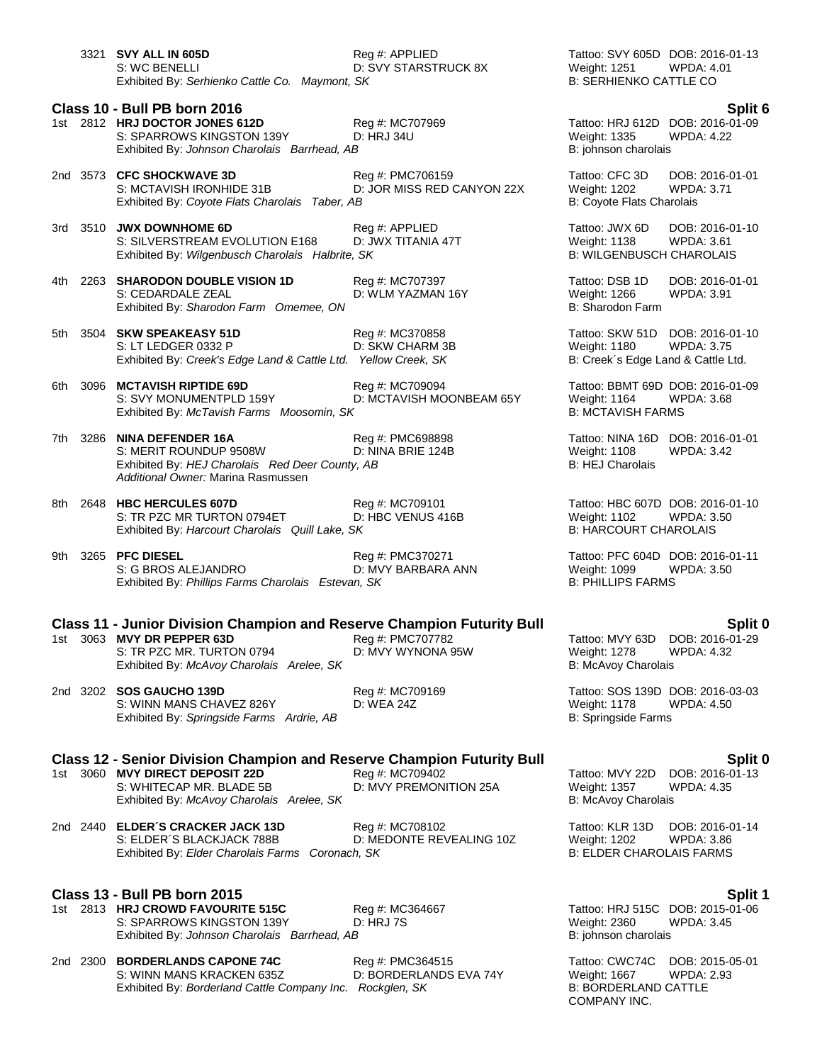3321 **SVY ALL IN 605D** Reg #: APPLIED Tattoo: SVY 605D DOB: 2016-01-13 S: WC BENELLI **D: SVY STARSTRUCK 8X** Weight: 1251 WPDA: 4.01 Exhibited By: Serhienko Cattle Co. Maymont, SK **B: SERHIENKO CATTLE CO.** B: SERHIENKO CATTLE CO **Class 10 - Bull PB born 2016 Split 6** 1st 2812 **HRJ DOCTOR JONES 612D** Reg #: MC707969 Tattoo: HRJ 612D DOB: 2016-01-09 S: SPARROWS KINGSTON 139Y D: HRJ 34U Weight: 1335 WPDA: 4.22 Exhibited By: *Johnson Charolais Barrhead, AB* B: johnson charolais *Barrhead, AB* 2nd 3573 **CFC SHOCKWAVE 3D** Reg #: PMC706159 Tattoo: CFC 3D DOB: 2016-01-01 S: MCTAVISH IRONHIDE 31B D: JOR MISS RED CANYON 22X Weight: 1202 WPDA: 3.71 Exhibited By: *Coyote Flats Charolais Taber, AB* B: Coyote Flats Charolais Taber, AB 3rd 3510 **JWX DOWNHOME 6D** Reg #: APPLIED Resolution of Tattoo: JWX 6D DOB: 2016-01-10<br>S: SILVERSTREAM EVOLUTION E168 D: JWX TITANIA 47T Weight: 1138 WPDA: 3.61 S: SILVERSTREAM EVOLUTION E168 Exhibited By: *Wilgenbusch Charolais Halbrite, SK* B: WILGENBUSCH CHAROLAIS 4th 2263 **SHARODON DOUBLE VISION 1D** Reg #: MC707397 **Tattoo: DSB 1D** DOB: 2016-01-01<br>S: CEDARDALE ZEAL D: WLM YAZMAN 16Y Weight: 1266 WPDA: 3.91 D: WLM YAZMAN 16Y Exhibited By: *Sharodon Farm Omemee, ON* B: Sharodon Farm 5th 3504 **SKW SPEAKEASY 51D** Reg #: MC370858 Tattoo: SKW 51D DOB: 2016-01-10 S: LT LEDGER 0332 P D: SKW CHARM 3B Weight: 1180 WPDA: 3.75<br>Exhibited By: Creek's Edge Land & Cattle Ltd. Yellow Creek, SK B: Creek's Edge Land & Cattle Ltd. Exhibited By: *Creek's Edge Land & Cattle Ltd.* Yellow Creek, SK 6th 3096 **MCTAVISH RIPTIDE 69D** Reg #: MC709094 Tattoo: BBMT 69D DOB: 2016-01-09 S: SVY MONUMENTPLD 159Y D: MCTAVISH MOONBEAM 65Y Weight: 1164 WPDA: 3.68<br>Exhibited By: *McTavish Farms Moosomin. SK* B: MCTAVISH FARMS Exhibited By: McTavish Farms Moosomin, SK 7th 3286 **NINA DEFENDER 16A** Reg #: PMC698898 Tattoo: NINA 16D DOB: 2016-01-01<br>S: MERIT ROUNDUP 9508W D: NINA BRIE 124B Weight: 1108 WPDA: 3.42 S: MERIT ROUNDUP 9508W D: NINA BRIE 124B Weight: 1108 Exhibited By: *HEJ Charolais Red Deer County, AB* B: HEJ Charolais Red Deer County, AB *Additional Owner:* Marina Rasmussen 8th 2648 HBC HERCULES 607D Reg #: MC709101 Tattoo: HBC 607D DOB: 2016-01-10 S: TR PZC MR TURTON 0794ET D: HBC VENUS 416B Weight: 1102 WPDA: 3.50 Exhibited By: *Harcourt Charolais Quill Lake, SK* B: HARCOURT CHAROLAIS 9th 3265 **PFC DIESEL** Reg #: PMC370271 Tattoo: PFC 604D DOB: 2016-01-11 S: G BROS ALEJANDRO D: MVY BARBARA ANN Weight: 1099 WPDA: 3.50<br>
Exhibited By: Phillips Farms Charolais Estevan, SK B: PHILLIPS FARMS Exhibited By: Phillips Farms Charolais Estevan, SK **Class 11 - Junior Division Champion and Reserve Champion Futurity Bull Split 0** 1st 3063 **MVY DR PEPPER 63D** Reg #: PMC707782 Tattoo: MVY 63D DOB: 2016-01-29 S: TR PZC MR. TURTON 0794 D: MVY WYNONA 95W Weight: 1278 WPDA: 4.32 Exhibited By: *McAvoy Charolais Arelee, SK* B: McAvoy Charolais Arelee, SK B: McAvoy Charolais 2nd 3202 **SOS GAUCHO 139D** Reg #: MC709169 Tattoo: SOS 139D DOB: 2016-03-03 S: WINN MANS CHAVEZ 826Y D: WEA 24Z Weight: 1178 WPDA: 4.50 Exhibited By: *Springside Farms Ardrie, AB* B: Springside Farms Ardrie, AB B: Springside Farms **Class 12 - Senior Division Champion and Reserve Champion Futurity Bull Split 0** 1st 3060 **MVY DIRECT DEPOSIT 22D** Reg #: MC709402 Tattoo: MVY 22D DOB: 2016-01-13<br>S: WHITECAP MR. BLADE 5B D: MVY PREMONITION 25A Weight: 1357 WPDA: 4.35 S: WHITECAP MR. BLADE 5B D: MVY PREMONITION 25A Weight: 1357 WPDA: 4.35 Exhibited By: *McAvoy Charolais Arelee, SK* B: McAvoy Charolais Arelee, SK B: McAvoy Charolais B: McAvoy Charolais 2nd 2440 **ELDER´S CRACKER JACK 13D** Reg #: MC708102 Tattoo: KLR 13D DOB: 2016-01-14 D: MEDONTE REVEALING 10Z Weight: 1202 WPDA: 3.86<br>h, SK B: ELDER CHAROLAIS FARMS Exhibited By: Elder Charolais Farms Coronach, SK

## **Class 13 - Bull PB born 2015 Split 1**

1st 2813 **HRJ CROWD FAVOURITE 515C** Reg #: MC364667 Tattoo: HRJ 515C DOB: 2015-01-06 S: SPARROWS KINGSTON 139Y D: HRJ 7S D: NOT DISTEM Meight: 2360 N<br>Exhibited By: *Johnson Charolais Barrhead, AB* B: johnson charolais Exhibited By: Johnson Charolais Barrhead, AB

2nd 2300 **BORDERLANDS CAPONE 74C** Reg #: PMC364515 Tattoo: CWC74C DOB: 2015-05-01<br>S: WINN MANS KRACKEN 635Z D: BORDERLANDS EVA 74Y Weight: 1667 WPDA: 2.93 S: WINN MANS KRACKEN 635Z D: BORDERLANDS EVA 74Y Weight: 1667 WPDA: 2.93<br>
Exhibited By: Borderland Cattle Company Inc. Rockglen, SK B: BORDERLAND CATTLE Exhibited By: *Borderland Cattle Company Inc. Rockglen, SK* 

COMPANY INC.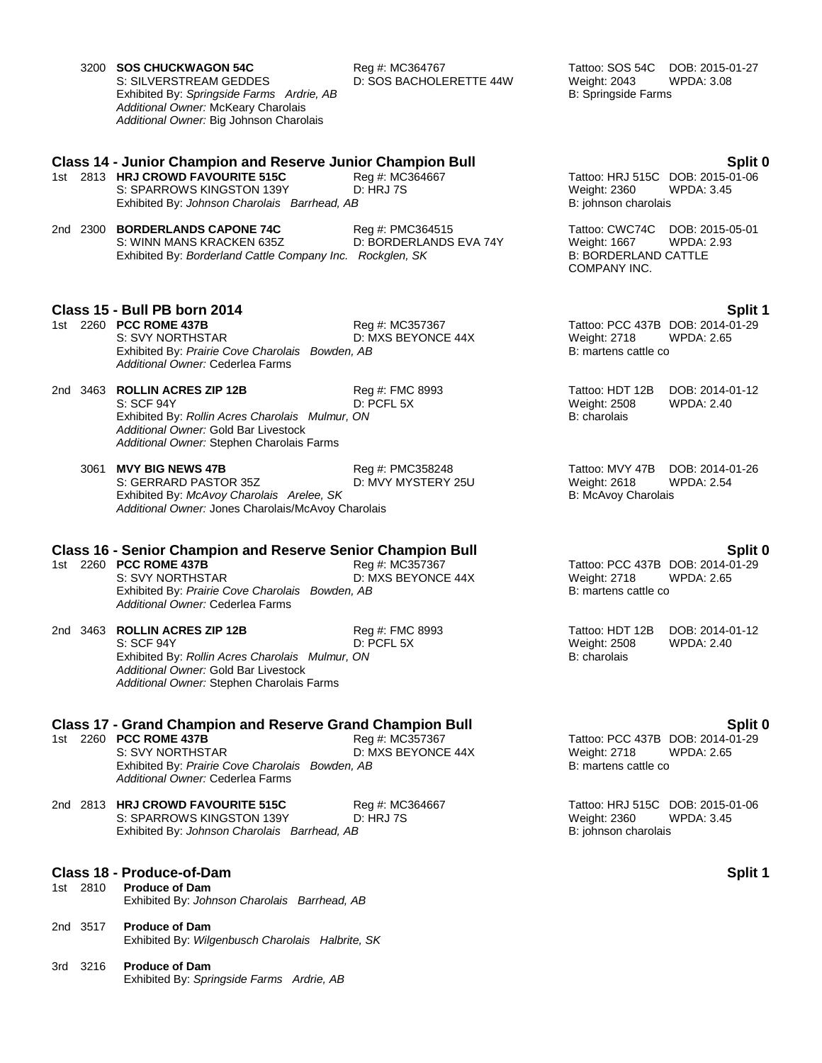|          | 3200 SOS CHUCKWAGON 54C<br>S: SILVERSTREAM GEDDES<br>Exhibited By: Springside Farms Ardrie, AB<br>Additional Owner: McKeary Charolais<br>Additional Owner: Big Johnson Charolais                             | Reg #: MC364767<br>D: SOS BACHOLERETTE 44W | Tattoo: SOS 54C<br>DOB: 2015-01-27<br>Weight: 2043<br><b>WPDA: 3.08</b><br><b>B: Springside Farms</b>                 |
|----------|--------------------------------------------------------------------------------------------------------------------------------------------------------------------------------------------------------------|--------------------------------------------|-----------------------------------------------------------------------------------------------------------------------|
|          | <b>Class 14 - Junior Champion and Reserve Junior Champion Bull</b><br>1st 2813 HRJ CROWD FAVOURITE 515C<br>S: SPARROWS KINGSTON 139Y<br>Exhibited By: Johnson Charolais Barrhead, AB                         | Reg #: MC364667<br><b>D: HRJ 7S</b>        | Split 0<br>Tattoo: HRJ 515C DOB: 2015-01-06<br><b>Weight: 2360</b><br><b>WPDA: 3.45</b><br>B: johnson charolais       |
|          | 2nd 2300 BORDERLANDS CAPONE 74C<br>S: WINN MANS KRACKEN 635Z<br>Exhibited By: Borderland Cattle Company Inc. Rockglen, SK                                                                                    | Reg #: PMC364515<br>D: BORDERLANDS EVA 74Y | Tattoo: CWC74C<br>DOB: 2015-05-01<br>Weight: 1667<br><b>WPDA: 2.93</b><br><b>B: BORDERLAND CATTLE</b><br>COMPANY INC. |
|          |                                                                                                                                                                                                              |                                            |                                                                                                                       |
|          | Class 15 - Bull PB born 2014<br>1st 2260 PCC ROME 437B<br>S: SVY NORTHSTAR<br>Exhibited By: Prairie Cove Charolais Bowden, AB<br>Additional Owner: Cederlea Farms                                            | Reg #: MC357367<br>D: MXS BEYONCE 44X      | <b>Split 1</b><br>Tattoo: PCC 437B DOB: 2014-01-29<br>Weight: 2718<br>WPDA: 2.65<br>B: martens cattle co              |
|          | 2nd 3463 ROLLIN ACRES ZIP 12B<br>S: SCF 94Y<br>Exhibited By: Rollin Acres Charolais Mulmur, ON<br>Additional Owner: Gold Bar Livestock<br>Additional Owner: Stephen Charolais Farms                          | Reg #: FMC 8993<br>D: PCFL 5X              | Tattoo: HDT 12B<br>DOB: 2014-01-12<br><b>Weight: 2508</b><br><b>WPDA: 2.40</b><br>B: charolais                        |
|          | 3061 MVY BIG NEWS 47B<br>S: GERRARD PASTOR 35Z<br>Exhibited By: McAvoy Charolais Arelee, SK<br>Additional Owner: Jones Charolais/McAvoy Charolais                                                            | Reg #: PMC358248<br>D: MVY MYSTERY 25U     | Tattoo: MVY 47B<br>DOB: 2014-01-26<br>Weight: 2618<br><b>WPDA: 2.54</b><br>B: McAvoy Charolais                        |
|          | <b>Class 16 - Senior Champion and Reserve Senior Champion Bull</b><br>1st 2260 PCC ROME 437B<br>S: SVY NORTHSTAR<br>Exhibited By: Prairie Cove Charolais Bowden, AB<br>Additional Owner: Cederlea Farms      | Reg #: MC357367<br>D: MXS BEYONCE 44X      | Split 0<br>Tattoo: PCC 437B DOB: 2014-01-29<br>Weight: 2718<br><b>WPDA: 2.65</b><br>B: martens cattle co              |
| 2nd 3463 | <b>ROLLIN ACRES ZIP 12B</b><br>S: SCF 94Y<br>Exhibited By: Rollin Acres Charolais Mulmur, ON<br>Additional Owner: Gold Bar Livestock<br>Additional Owner: Stephen Charolais Farms                            | Reg #: FMC 8993<br>D: PCFL 5X              | Tattoo: HDT 12B<br>DOB: 2014-01-12<br>Weight: 2508<br><b>WPDA: 2.40</b><br>B: charolais                               |
|          | <b>Class 17 - Grand Champion and Reserve Grand Champion Bull</b><br>1st 2260 <b>PCC ROME 437B</b><br>S: SVY NORTHSTAR<br>Exhibited By: Prairie Cove Charolais Bowden, AB<br>Additional Owner: Cederlea Farms | Reg #: MC357367<br>D: MXS BEYONCE 44X      | Split 0<br>Tattoo: PCC 437B DOB: 2014-01-29<br><b>Weight: 2718</b><br>WPDA: 2.65<br>B: martens cattle co              |
|          | 2nd 2813 HRJ CROWD FAVOURITE 515C<br>S: SPARROWS KINGSTON 139Y<br>Exhibited By: Johnson Charolais Barrhead, AB                                                                                               | Reg #: MC364667<br><b>D: HRJ 7S</b>        | Tattoo: HRJ 515C DOB: 2015-01-06<br><b>WPDA: 3.45</b><br><b>Weight: 2360</b><br>B: johnson charolais                  |
| 1st 2810 | Class 18 - Produce-of-Dam<br><b>Produce of Dam</b><br>Exhibited By: Johnson Charolais Barrhead, AB                                                                                                           |                                            | Split 1                                                                                                               |
| 2nd 3517 | <b>Produce of Dam</b><br>Exhibited By: Wilgenbusch Charolais Halbrite, SK                                                                                                                                    |                                            |                                                                                                                       |
| 3rd 3216 | <b>Produce of Dam</b><br>Exhibited By: Springside Farms Ardrie, AB                                                                                                                                           |                                            |                                                                                                                       |